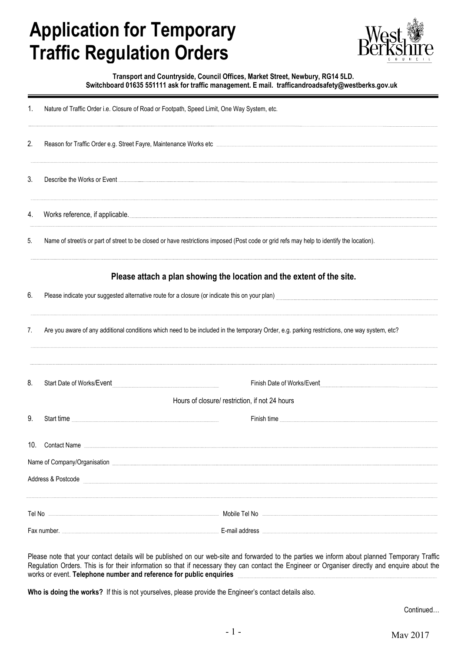## **Application for Temporary Traffic Regulation Orders**



## **Transport and Countryside, Council Offices, Market Street, Newbury, RG14 5LD. Switchboard 01635 551111 ask for traffic management. E mail. trafficandroadsafety@westberks.gov.uk**

|  | Nature of Traffic Order i.e. Closure of Road or Footpath, Speed Limit, One Way System, etc. |
|--|---------------------------------------------------------------------------------------------|
|  |                                                                                             |

| 2.                 | Reason for Traffic Order e.g. Street Fayre, Maintenance Works etc                                                                            |                                                                       |  |  |  |
|--------------------|----------------------------------------------------------------------------------------------------------------------------------------------|-----------------------------------------------------------------------|--|--|--|
| 3.                 | Describe the Works or Event                                                                                                                  |                                                                       |  |  |  |
|                    |                                                                                                                                              |                                                                       |  |  |  |
| 4.                 | Works reference, if applicable.                                                                                                              |                                                                       |  |  |  |
| 5.                 | Name of street/s or part of street to be closed or have restrictions imposed (Post code or grid refs may help to identify the location).     |                                                                       |  |  |  |
|                    |                                                                                                                                              | Please attach a plan showing the location and the extent of the site. |  |  |  |
| 6.                 | Please indicate your suggested alternative route for a closure (or indicate this on your plan)                                               |                                                                       |  |  |  |
|                    |                                                                                                                                              |                                                                       |  |  |  |
| 7.                 | Are you aware of any additional conditions which need to be included in the temporary Order, e.g. parking restrictions, one way system, etc? |                                                                       |  |  |  |
|                    |                                                                                                                                              |                                                                       |  |  |  |
| 8.                 | Start Date of Works/Event                                                                                                                    | Finish Date of Works/Event                                            |  |  |  |
|                    |                                                                                                                                              | Hours of closure/ restriction, if not 24 hours                        |  |  |  |
| 9.                 | Start time                                                                                                                                   | Finish time                                                           |  |  |  |
|                    |                                                                                                                                              |                                                                       |  |  |  |
| 10.                | <b>Contact Name</b>                                                                                                                          |                                                                       |  |  |  |
|                    | Name of Company/Organisation                                                                                                                 |                                                                       |  |  |  |
| Address & Postcode |                                                                                                                                              |                                                                       |  |  |  |
|                    |                                                                                                                                              |                                                                       |  |  |  |
| Tel No             |                                                                                                                                              | Mobile Tel No                                                         |  |  |  |
|                    | Fax number.                                                                                                                                  | E-mail address                                                        |  |  |  |

Please note that your contact details will be published on our web-site and forwarded to the parties we inform about planned Temporary Traffic Regulation Orders. This is for their information so that if necessary they can contact the Engineer or Organiser directly and enquire about the works or event. **Telephone number and reference for public enquiries**

**Who is doing the works?** If this is not yourselves, please provide the Engineer's contact details also.

Continued…